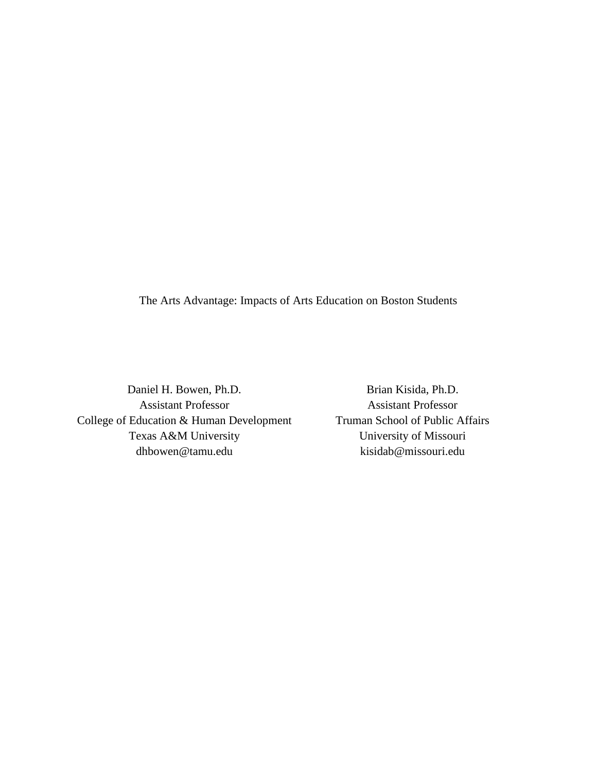The Arts Advantage: Impacts of Arts Education on Boston Students

Daniel H. Bowen, Ph.D. Assistant Professor College of Education & Human Development Texas A&M University dhbowen@tamu.edu

Brian Kisida, Ph.D. Assistant Professor Truman School of Public Affairs University of Missouri kisidab@missouri.edu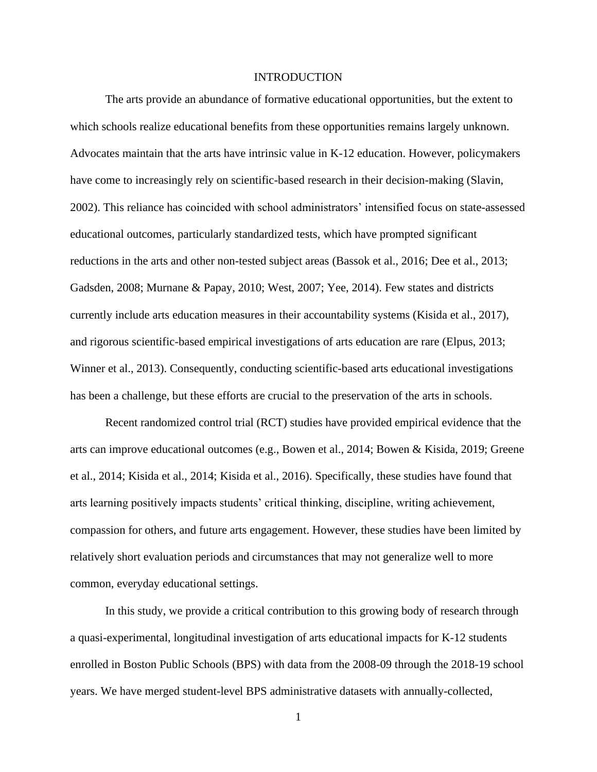#### INTRODUCTION

The arts provide an abundance of formative educational opportunities, but the extent to which schools realize educational benefits from these opportunities remains largely unknown. Advocates maintain that the arts have intrinsic value in K-12 education. However, policymakers have come to increasingly rely on scientific-based research in their decision-making (Slavin, 2002). This reliance has coincided with school administrators' intensified focus on state-assessed educational outcomes, particularly standardized tests, which have prompted significant reductions in the arts and other non-tested subject areas (Bassok et al., 2016; Dee et al., 2013; Gadsden, 2008; Murnane & Papay, 2010; West, 2007; Yee, 2014). Few states and districts currently include arts education measures in their accountability systems (Kisida et al., 2017), and rigorous scientific-based empirical investigations of arts education are rare (Elpus, 2013; Winner et al., 2013). Consequently, conducting scientific-based arts educational investigations has been a challenge, but these efforts are crucial to the preservation of the arts in schools.

Recent randomized control trial (RCT) studies have provided empirical evidence that the arts can improve educational outcomes (e.g., Bowen et al., 2014; Bowen & Kisida, 2019; Greene et al., 2014; Kisida et al., 2014; Kisida et al., 2016). Specifically, these studies have found that arts learning positively impacts students' critical thinking, discipline, writing achievement, compassion for others, and future arts engagement. However, these studies have been limited by relatively short evaluation periods and circumstances that may not generalize well to more common, everyday educational settings.

In this study, we provide a critical contribution to this growing body of research through a quasi-experimental, longitudinal investigation of arts educational impacts for K-12 students enrolled in Boston Public Schools (BPS) with data from the 2008-09 through the 2018-19 school years. We have merged student-level BPS administrative datasets with annually-collected,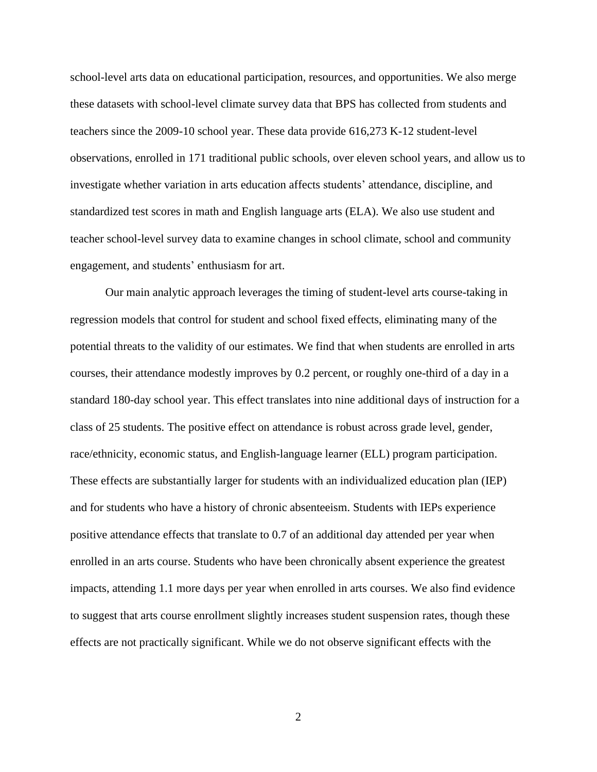school-level arts data on educational participation, resources, and opportunities. We also merge these datasets with school-level climate survey data that BPS has collected from students and teachers since the 2009-10 school year. These data provide 616,273 K-12 student-level observations, enrolled in 171 traditional public schools, over eleven school years, and allow us to investigate whether variation in arts education affects students' attendance, discipline, and standardized test scores in math and English language arts (ELA). We also use student and teacher school-level survey data to examine changes in school climate, school and community engagement, and students' enthusiasm for art.

Our main analytic approach leverages the timing of student-level arts course-taking in regression models that control for student and school fixed effects, eliminating many of the potential threats to the validity of our estimates. We find that when students are enrolled in arts courses, their attendance modestly improves by 0.2 percent, or roughly one-third of a day in a standard 180-day school year. This effect translates into nine additional days of instruction for a class of 25 students. The positive effect on attendance is robust across grade level, gender, race/ethnicity, economic status, and English-language learner (ELL) program participation. These effects are substantially larger for students with an individualized education plan (IEP) and for students who have a history of chronic absenteeism. Students with IEPs experience positive attendance effects that translate to 0.7 of an additional day attended per year when enrolled in an arts course. Students who have been chronically absent experience the greatest impacts, attending 1.1 more days per year when enrolled in arts courses. We also find evidence to suggest that arts course enrollment slightly increases student suspension rates, though these effects are not practically significant. While we do not observe significant effects with the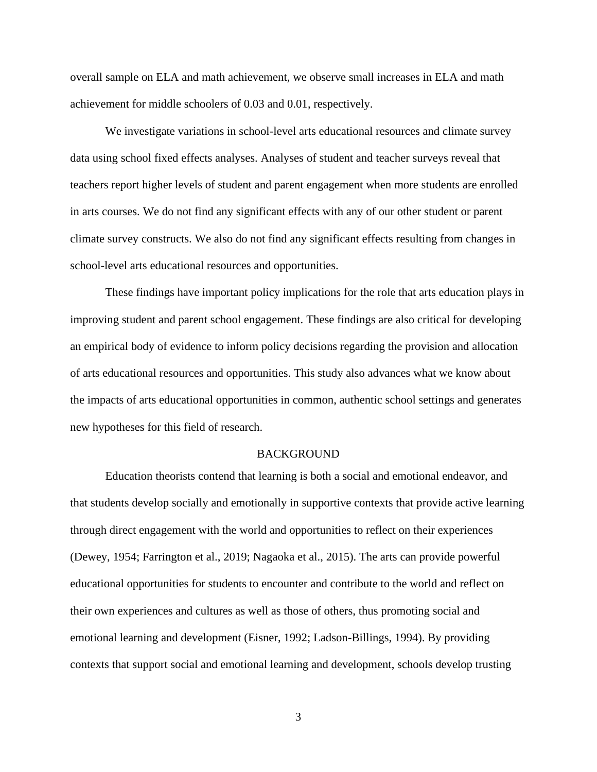overall sample on ELA and math achievement, we observe small increases in ELA and math achievement for middle schoolers of 0.03 and 0.01, respectively.

We investigate variations in school-level arts educational resources and climate survey data using school fixed effects analyses. Analyses of student and teacher surveys reveal that teachers report higher levels of student and parent engagement when more students are enrolled in arts courses. We do not find any significant effects with any of our other student or parent climate survey constructs. We also do not find any significant effects resulting from changes in school-level arts educational resources and opportunities.

These findings have important policy implications for the role that arts education plays in improving student and parent school engagement. These findings are also critical for developing an empirical body of evidence to inform policy decisions regarding the provision and allocation of arts educational resources and opportunities. This study also advances what we know about the impacts of arts educational opportunities in common, authentic school settings and generates new hypotheses for this field of research.

#### **BACKGROUND**

Education theorists contend that learning is both a social and emotional endeavor, and that students develop socially and emotionally in supportive contexts that provide active learning through direct engagement with the world and opportunities to reflect on their experiences (Dewey, 1954; Farrington et al., 2019; Nagaoka et al., 2015). The arts can provide powerful educational opportunities for students to encounter and contribute to the world and reflect on their own experiences and cultures as well as those of others, thus promoting social and emotional learning and development (Eisner, 1992; Ladson-Billings, 1994). By providing contexts that support social and emotional learning and development, schools develop trusting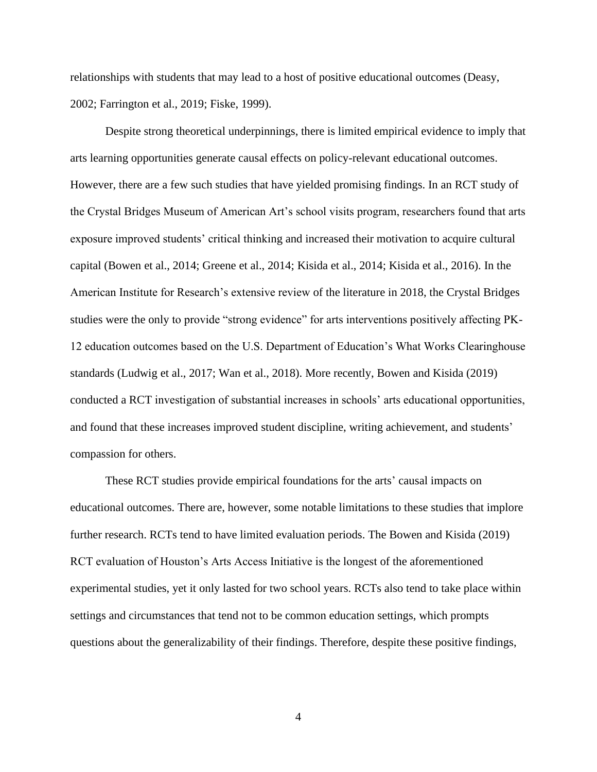relationships with students that may lead to a host of positive educational outcomes (Deasy, 2002; Farrington et al., 2019; Fiske, 1999).

Despite strong theoretical underpinnings, there is limited empirical evidence to imply that arts learning opportunities generate causal effects on policy-relevant educational outcomes. However, there are a few such studies that have yielded promising findings. In an RCT study of the Crystal Bridges Museum of American Art's school visits program, researchers found that arts exposure improved students' critical thinking and increased their motivation to acquire cultural capital (Bowen et al., 2014; Greene et al., 2014; Kisida et al., 2014; Kisida et al., 2016). In the American Institute for Research's extensive review of the literature in 2018, the Crystal Bridges studies were the only to provide "strong evidence" for arts interventions positively affecting PK-12 education outcomes based on the U.S. Department of Education's What Works Clearinghouse standards (Ludwig et al., 2017; Wan et al., 2018). More recently, Bowen and Kisida (2019) conducted a RCT investigation of substantial increases in schools' arts educational opportunities, and found that these increases improved student discipline, writing achievement, and students' compassion for others.

These RCT studies provide empirical foundations for the arts' causal impacts on educational outcomes. There are, however, some notable limitations to these studies that implore further research. RCTs tend to have limited evaluation periods. The Bowen and Kisida (2019) RCT evaluation of Houston's Arts Access Initiative is the longest of the aforementioned experimental studies, yet it only lasted for two school years. RCTs also tend to take place within settings and circumstances that tend not to be common education settings, which prompts questions about the generalizability of their findings. Therefore, despite these positive findings,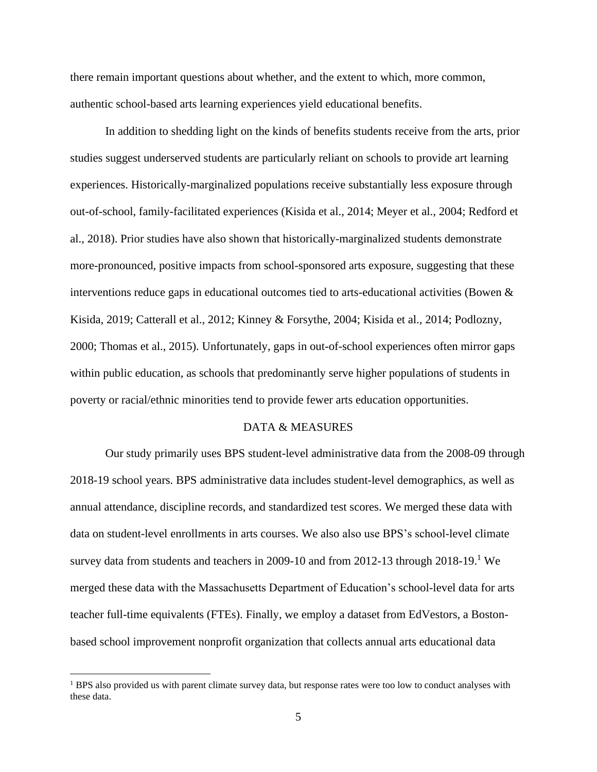there remain important questions about whether, and the extent to which, more common, authentic school-based arts learning experiences yield educational benefits.

In addition to shedding light on the kinds of benefits students receive from the arts, prior studies suggest underserved students are particularly reliant on schools to provide art learning experiences. Historically-marginalized populations receive substantially less exposure through out-of-school, family-facilitated experiences (Kisida et al., 2014; Meyer et al., 2004; Redford et al., 2018). Prior studies have also shown that historically-marginalized students demonstrate more-pronounced, positive impacts from school-sponsored arts exposure, suggesting that these interventions reduce gaps in educational outcomes tied to arts-educational activities (Bowen & Kisida, 2019; Catterall et al., 2012; Kinney & Forsythe, 2004; Kisida et al., 2014; Podlozny, 2000; Thomas et al., 2015). Unfortunately, gaps in out-of-school experiences often mirror gaps within public education, as schools that predominantly serve higher populations of students in poverty or racial/ethnic minorities tend to provide fewer arts education opportunities.

#### DATA & MEASURES

Our study primarily uses BPS student-level administrative data from the 2008-09 through 2018-19 school years. BPS administrative data includes student-level demographics, as well as annual attendance, discipline records, and standardized test scores. We merged these data with data on student-level enrollments in arts courses. We also also use BPS's school-level climate survey data from students and teachers in 2009-10 and from 2012-13 through  $2018-19$ .<sup>1</sup> We merged these data with the Massachusetts Department of Education's school-level data for arts teacher full-time equivalents (FTEs). Finally, we employ a dataset from EdVestors, a Bostonbased school improvement nonprofit organization that collects annual arts educational data

<sup>&</sup>lt;sup>1</sup> BPS also provided us with parent climate survey data, but response rates were too low to conduct analyses with these data.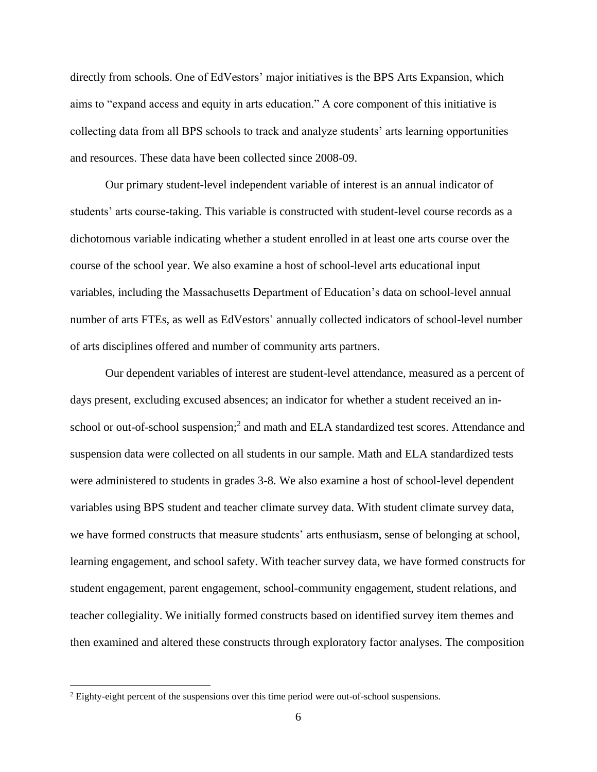directly from schools. One of EdVestors' major initiatives is the BPS Arts Expansion, which aims to "expand access and equity in arts education." A core component of this initiative is collecting data from all BPS schools to track and analyze students' arts learning opportunities and resources. These data have been collected since 2008-09.

Our primary student-level independent variable of interest is an annual indicator of students' arts course-taking. This variable is constructed with student-level course records as a dichotomous variable indicating whether a student enrolled in at least one arts course over the course of the school year. We also examine a host of school-level arts educational input variables, including the Massachusetts Department of Education's data on school-level annual number of arts FTEs, as well as EdVestors' annually collected indicators of school-level number of arts disciplines offered and number of community arts partners.

Our dependent variables of interest are student-level attendance, measured as a percent of days present, excluding excused absences; an indicator for whether a student received an inschool or out-of-school suspension;<sup>2</sup> and math and ELA standardized test scores. Attendance and suspension data were collected on all students in our sample. Math and ELA standardized tests were administered to students in grades 3-8. We also examine a host of school-level dependent variables using BPS student and teacher climate survey data. With student climate survey data, we have formed constructs that measure students' arts enthusiasm, sense of belonging at school, learning engagement, and school safety. With teacher survey data, we have formed constructs for student engagement, parent engagement, school-community engagement, student relations, and teacher collegiality. We initially formed constructs based on identified survey item themes and then examined and altered these constructs through exploratory factor analyses. The composition

<sup>&</sup>lt;sup>2</sup> Eighty-eight percent of the suspensions over this time period were out-of-school suspensions.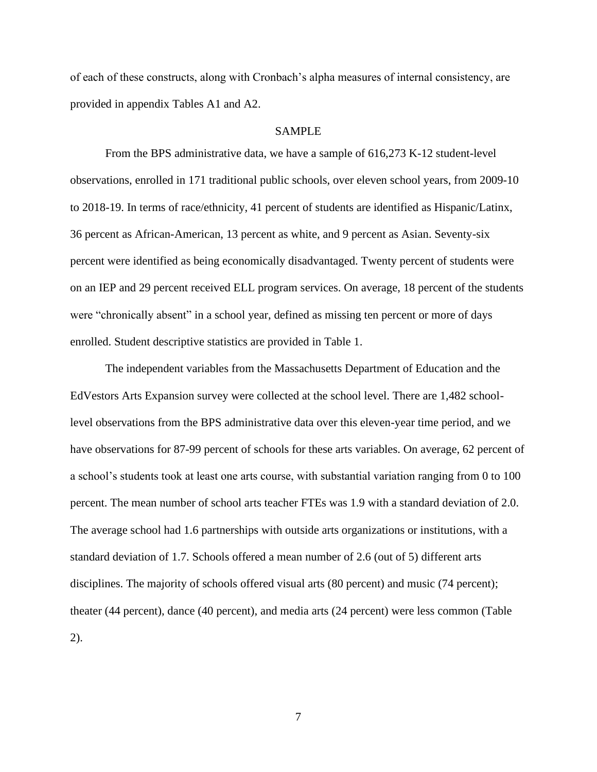of each of these constructs, along with Cronbach's alpha measures of internal consistency, are provided in appendix Tables A1 and A2.

#### SAMPLE

From the BPS administrative data, we have a sample of 616,273 K-12 student-level observations, enrolled in 171 traditional public schools, over eleven school years, from 2009-10 to 2018-19. In terms of race/ethnicity, 41 percent of students are identified as Hispanic/Latinx, 36 percent as African-American, 13 percent as white, and 9 percent as Asian. Seventy-six percent were identified as being economically disadvantaged. Twenty percent of students were on an IEP and 29 percent received ELL program services. On average, 18 percent of the students were "chronically absent" in a school year, defined as missing ten percent or more of days enrolled. Student descriptive statistics are provided in Table 1.

The independent variables from the Massachusetts Department of Education and the EdVestors Arts Expansion survey were collected at the school level. There are 1,482 schoollevel observations from the BPS administrative data over this eleven-year time period, and we have observations for 87-99 percent of schools for these arts variables. On average, 62 percent of a school's students took at least one arts course, with substantial variation ranging from 0 to 100 percent. The mean number of school arts teacher FTEs was 1.9 with a standard deviation of 2.0. The average school had 1.6 partnerships with outside arts organizations or institutions, with a standard deviation of 1.7. Schools offered a mean number of 2.6 (out of 5) different arts disciplines. The majority of schools offered visual arts (80 percent) and music (74 percent); theater (44 percent), dance (40 percent), and media arts (24 percent) were less common (Table 2).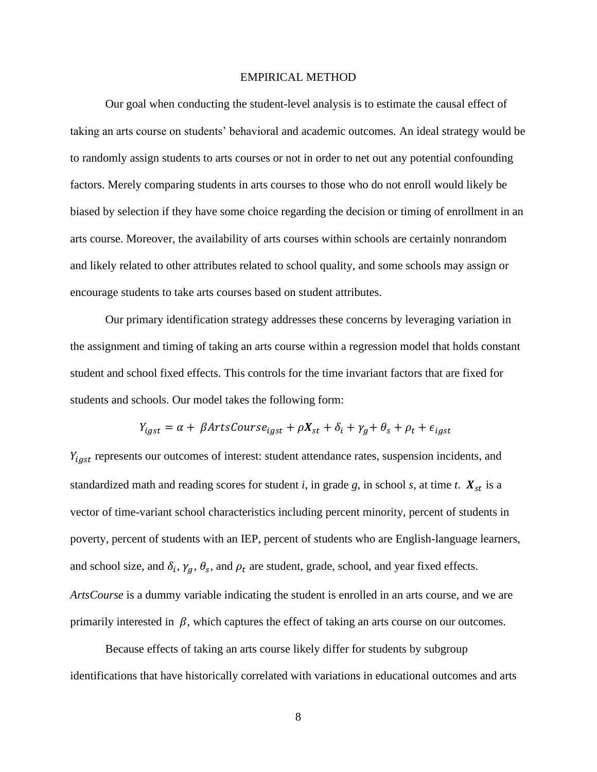#### EMPIRICAL METHOD

Our goal when conducting the student-level analysis is to estimate the causal effect of taking an arts course on students' behavioral and academic outcomes. An ideal strategy would be to randomly assign students to arts courses or not in order to net out any potential confounding factors. Merely comparing students in arts courses to those who do not enroll would likely be biased by selection if they have some choice regarding the decision or timing of enrollment in an arts course. Moreover, the availability of arts courses within schools are certainly nonrandom and likely related to other attributes related to school quality, and some schools may assign or encourage students to take arts courses based on student attributes.

Our primary identification strategy addresses these concerns by leveraging variation in the assignment and timing of taking an arts course within a regression model that holds constant student and school fixed effects. This controls for the time invariant factors that are fixed for students and schools. Our model takes the following form:

$$
Y_{igst} = \alpha + \beta ArtsCourse_{igst} + \rho X_{st} + \delta_i + \gamma_g + \theta_s + \rho_t + \epsilon_{igst}
$$

 $Y_{igst}$  represents our outcomes of interest: student attendance rates, suspension incidents, and standardized math and reading scores for student *i*, in grade *g*, in school *s*, at time *t*.  $X_{st}$  is a vector of time-variant school characteristics including percent minority, percent of students in poverty, percent of students with an IEP, percent of students who are English-language learners, and school size, and  $\delta_i$ ,  $\gamma_g$ ,  $\theta_s$ , and  $\rho_t$  are student, grade, school, and year fixed effects. *ArtsCourse* is a dummy variable indicating the student is enrolled in an arts course, and we are primarily interested in  $\beta$ , which captures the effect of taking an arts course on our outcomes.

Because effects of taking an arts course likely differ for students by subgroup identifications that have historically correlated with variations in educational outcomes and arts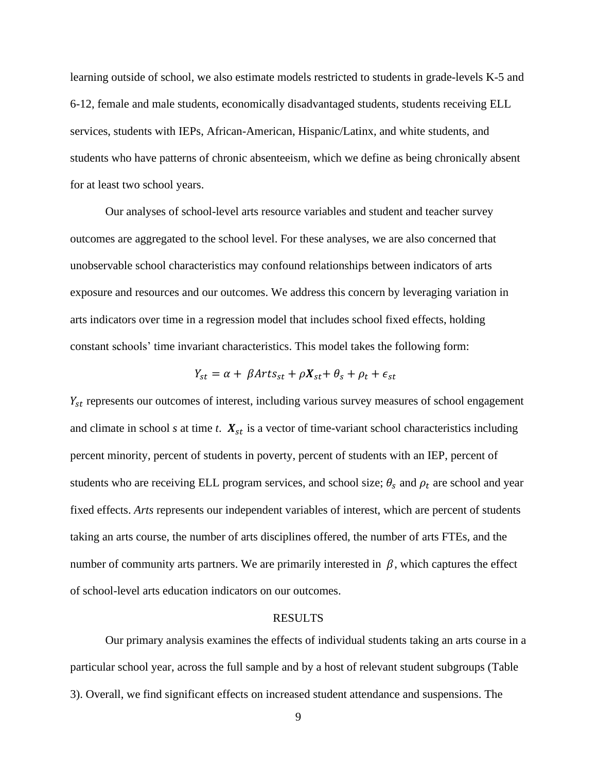learning outside of school, we also estimate models restricted to students in grade-levels K-5 and 6-12, female and male students, economically disadvantaged students, students receiving ELL services, students with IEPs, African-American, Hispanic/Latinx, and white students, and students who have patterns of chronic absenteeism, which we define as being chronically absent for at least two school years.

Our analyses of school-level arts resource variables and student and teacher survey outcomes are aggregated to the school level. For these analyses, we are also concerned that unobservable school characteristics may confound relationships between indicators of arts exposure and resources and our outcomes. We address this concern by leveraging variation in arts indicators over time in a regression model that includes school fixed effects, holding constant schools' time invariant characteristics. This model takes the following form:

$$
Y_{st} = \alpha + \beta Arts_{st} + \rho X_{st} + \theta_s + \rho_t + \epsilon_{st}
$$

 $Y_{st}$  represents our outcomes of interest, including various survey measures of school engagement and climate in school  $s$  at time  $t$ .  $X_{st}$  is a vector of time-variant school characteristics including percent minority, percent of students in poverty, percent of students with an IEP, percent of students who are receiving ELL program services, and school size;  $\theta_s$  and  $\rho_t$  are school and year fixed effects. *Arts* represents our independent variables of interest, which are percent of students taking an arts course, the number of arts disciplines offered, the number of arts FTEs, and the number of community arts partners. We are primarily interested in  $\beta$ , which captures the effect of school-level arts education indicators on our outcomes.

#### RESULTS

Our primary analysis examines the effects of individual students taking an arts course in a particular school year, across the full sample and by a host of relevant student subgroups (Table 3). Overall, we find significant effects on increased student attendance and suspensions. The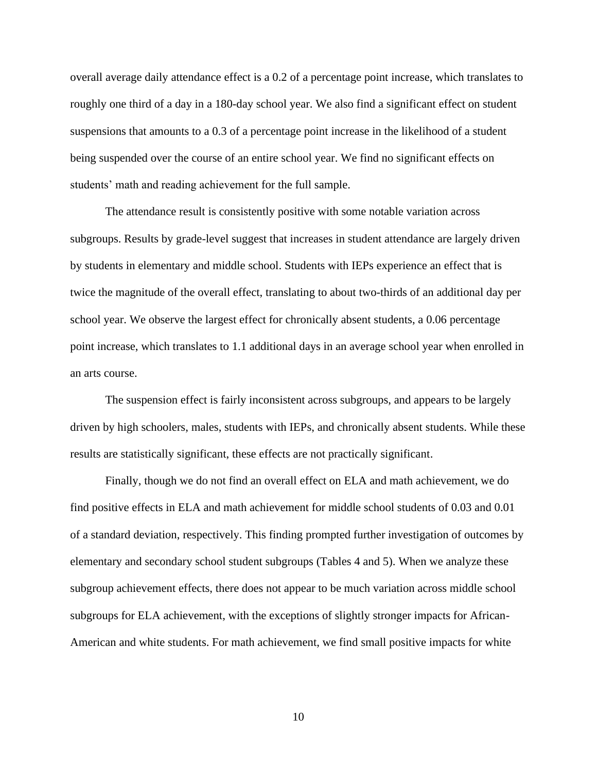overall average daily attendance effect is a 0.2 of a percentage point increase, which translates to roughly one third of a day in a 180-day school year. We also find a significant effect on student suspensions that amounts to a 0.3 of a percentage point increase in the likelihood of a student being suspended over the course of an entire school year. We find no significant effects on students' math and reading achievement for the full sample.

The attendance result is consistently positive with some notable variation across subgroups. Results by grade-level suggest that increases in student attendance are largely driven by students in elementary and middle school. Students with IEPs experience an effect that is twice the magnitude of the overall effect, translating to about two-thirds of an additional day per school year. We observe the largest effect for chronically absent students, a 0.06 percentage point increase, which translates to 1.1 additional days in an average school year when enrolled in an arts course.

The suspension effect is fairly inconsistent across subgroups, and appears to be largely driven by high schoolers, males, students with IEPs, and chronically absent students. While these results are statistically significant, these effects are not practically significant.

Finally, though we do not find an overall effect on ELA and math achievement, we do find positive effects in ELA and math achievement for middle school students of 0.03 and 0.01 of a standard deviation, respectively. This finding prompted further investigation of outcomes by elementary and secondary school student subgroups (Tables 4 and 5). When we analyze these subgroup achievement effects, there does not appear to be much variation across middle school subgroups for ELA achievement, with the exceptions of slightly stronger impacts for African-American and white students. For math achievement, we find small positive impacts for white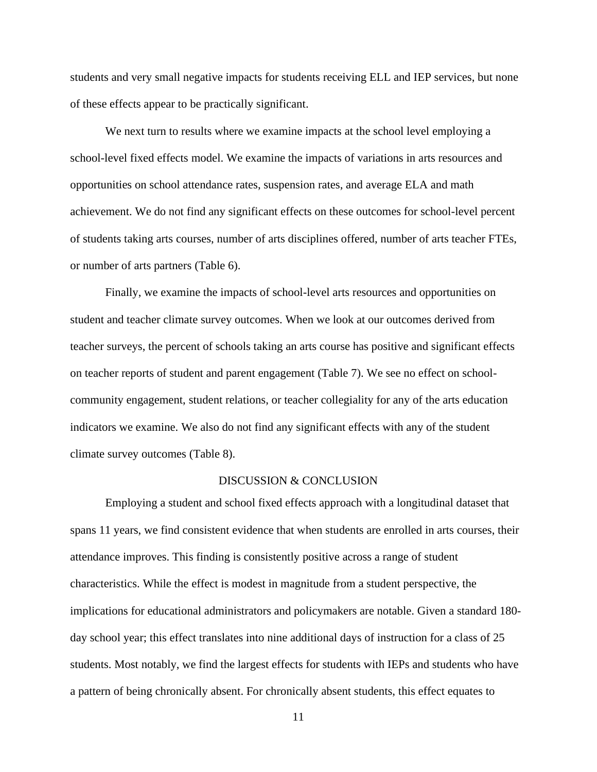students and very small negative impacts for students receiving ELL and IEP services, but none of these effects appear to be practically significant.

We next turn to results where we examine impacts at the school level employing a school-level fixed effects model. We examine the impacts of variations in arts resources and opportunities on school attendance rates, suspension rates, and average ELA and math achievement. We do not find any significant effects on these outcomes for school-level percent of students taking arts courses, number of arts disciplines offered, number of arts teacher FTEs, or number of arts partners (Table 6).

Finally, we examine the impacts of school-level arts resources and opportunities on student and teacher climate survey outcomes. When we look at our outcomes derived from teacher surveys, the percent of schools taking an arts course has positive and significant effects on teacher reports of student and parent engagement (Table 7). We see no effect on schoolcommunity engagement, student relations, or teacher collegiality for any of the arts education indicators we examine. We also do not find any significant effects with any of the student climate survey outcomes (Table 8).

#### DISCUSSION & CONCLUSION

Employing a student and school fixed effects approach with a longitudinal dataset that spans 11 years, we find consistent evidence that when students are enrolled in arts courses, their attendance improves. This finding is consistently positive across a range of student characteristics. While the effect is modest in magnitude from a student perspective, the implications for educational administrators and policymakers are notable. Given a standard 180 day school year; this effect translates into nine additional days of instruction for a class of 25 students. Most notably, we find the largest effects for students with IEPs and students who have a pattern of being chronically absent. For chronically absent students, this effect equates to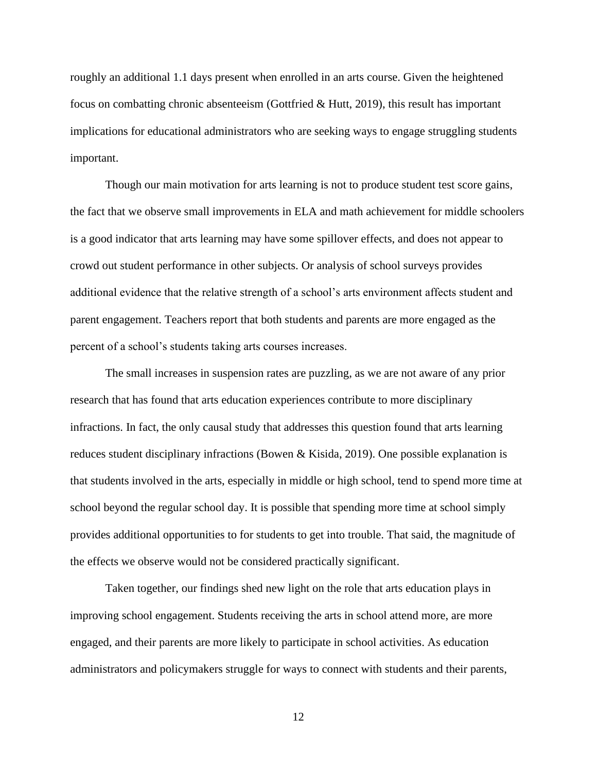roughly an additional 1.1 days present when enrolled in an arts course. Given the heightened focus on combatting chronic absenteeism (Gottfried & Hutt, 2019), this result has important implications for educational administrators who are seeking ways to engage struggling students important.

Though our main motivation for arts learning is not to produce student test score gains, the fact that we observe small improvements in ELA and math achievement for middle schoolers is a good indicator that arts learning may have some spillover effects, and does not appear to crowd out student performance in other subjects. Or analysis of school surveys provides additional evidence that the relative strength of a school's arts environment affects student and parent engagement. Teachers report that both students and parents are more engaged as the percent of a school's students taking arts courses increases.

The small increases in suspension rates are puzzling, as we are not aware of any prior research that has found that arts education experiences contribute to more disciplinary infractions. In fact, the only causal study that addresses this question found that arts learning reduces student disciplinary infractions (Bowen & Kisida, 2019). One possible explanation is that students involved in the arts, especially in middle or high school, tend to spend more time at school beyond the regular school day. It is possible that spending more time at school simply provides additional opportunities to for students to get into trouble. That said, the magnitude of the effects we observe would not be considered practically significant.

Taken together, our findings shed new light on the role that arts education plays in improving school engagement. Students receiving the arts in school attend more, are more engaged, and their parents are more likely to participate in school activities. As education administrators and policymakers struggle for ways to connect with students and their parents,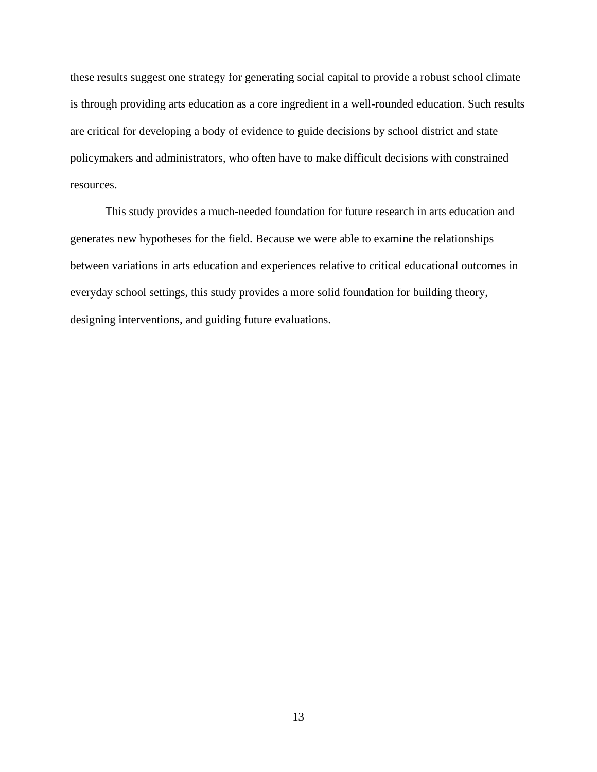these results suggest one strategy for generating social capital to provide a robust school climate is through providing arts education as a core ingredient in a well-rounded education. Such results are critical for developing a body of evidence to guide decisions by school district and state policymakers and administrators, who often have to make difficult decisions with constrained resources.

This study provides a much-needed foundation for future research in arts education and generates new hypotheses for the field. Because we were able to examine the relationships between variations in arts education and experiences relative to critical educational outcomes in everyday school settings, this study provides a more solid foundation for building theory, designing interventions, and guiding future evaluations.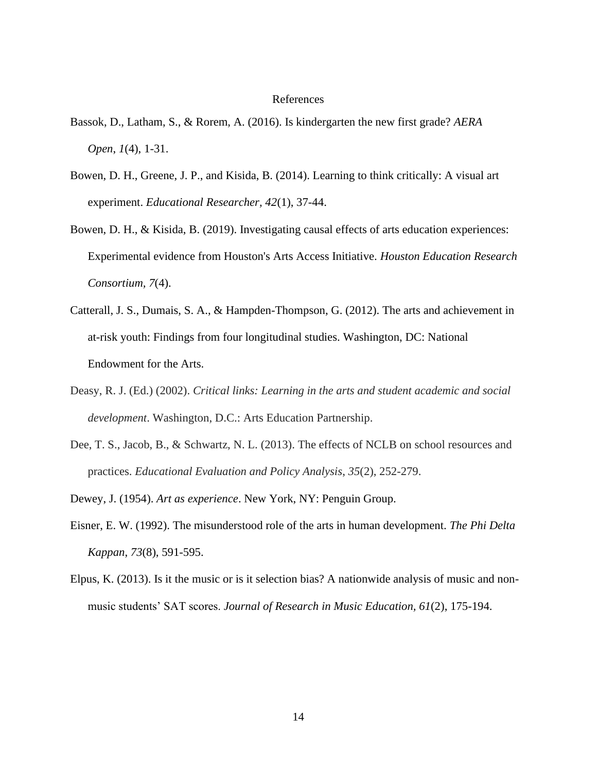#### References

- Bassok, D., Latham, S., & Rorem, A. (2016). Is kindergarten the new first grade? *AERA Open*, *1*(4), 1-31.
- Bowen, D. H., Greene, J. P., and Kisida, B. (2014). Learning to think critically: A visual art experiment. *Educational Researcher, 42*(1), 37-44.
- Bowen, D. H., & Kisida, B. (2019). Investigating causal effects of arts education experiences: Experimental evidence from Houston's Arts Access Initiative. *Houston Education Research Consortium, 7*(4).
- Catterall, J. S., Dumais, S. A., & Hampden-Thompson, G. (2012). The arts and achievement in at-risk youth: Findings from four longitudinal studies. Washington, DC: National Endowment for the Arts.
- Deasy, R. J. (Ed.) (2002). *Critical links: Learning in the arts and student academic and social development*. Washington, D.C.: Arts Education Partnership.
- Dee, T. S., Jacob, B., & Schwartz, N. L. (2013). The effects of NCLB on school resources and practices. *Educational Evaluation and Policy Analysis*, *35*(2), 252-279.
- Dewey, J. (1954). *Art as experience*. New York, NY: Penguin Group.
- Eisner, E. W. (1992). The misunderstood role of the arts in human development. *The Phi Delta Kappan*, *73*(8), 591-595.
- Elpus, K. (2013). Is it the music or is it selection bias? A nationwide analysis of music and nonmusic students' SAT scores. *Journal of Research in Music Education, 61*(2), 175-194.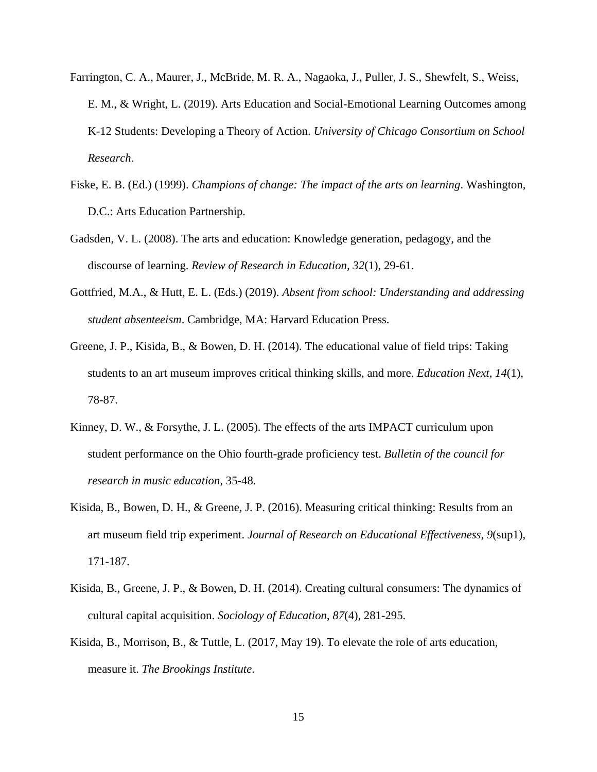- Farrington, C. A., Maurer, J., McBride, M. R. A., Nagaoka, J., Puller, J. S., Shewfelt, S., Weiss, E. M., & Wright, L. (2019). Arts Education and Social-Emotional Learning Outcomes among K-12 Students: Developing a Theory of Action. *University of Chicago Consortium on School Research*.
- Fiske, E. B. (Ed.) (1999). *Champions of change: The impact of the arts on learning*. Washington, D.C.: Arts Education Partnership.
- Gadsden, V. L. (2008). The arts and education: Knowledge generation, pedagogy, and the discourse of learning. *Review of Research in Education, 32*(1), 29-61.
- Gottfried, M.A., & Hutt, E. L. (Eds.) (2019). *Absent from school: Understanding and addressing student absenteeism*. Cambridge, MA: Harvard Education Press.
- Greene, J. P., Kisida, B., & Bowen, D. H. (2014). The educational value of field trips: Taking students to an art museum improves critical thinking skills, and more. *Education Next*, *14*(1), 78-87.
- Kinney, D. W., & Forsythe, J. L. (2005). The effects of the arts IMPACT curriculum upon student performance on the Ohio fourth-grade proficiency test. *Bulletin of the council for research in music education*, 35-48.
- Kisida, B., Bowen, D. H., & Greene, J. P. (2016). Measuring critical thinking: Results from an art museum field trip experiment. *Journal of Research on Educational Effectiveness*, *9*(sup1), 171-187.
- Kisida, B., Greene, J. P., & Bowen, D. H. (2014). Creating cultural consumers: The dynamics of cultural capital acquisition. *Sociology of Education*, *87*(4), 281-295.
- Kisida, B., Morrison, B., & Tuttle, L. (2017, May 19). To elevate the role of arts education, measure it. *The Brookings Institute*.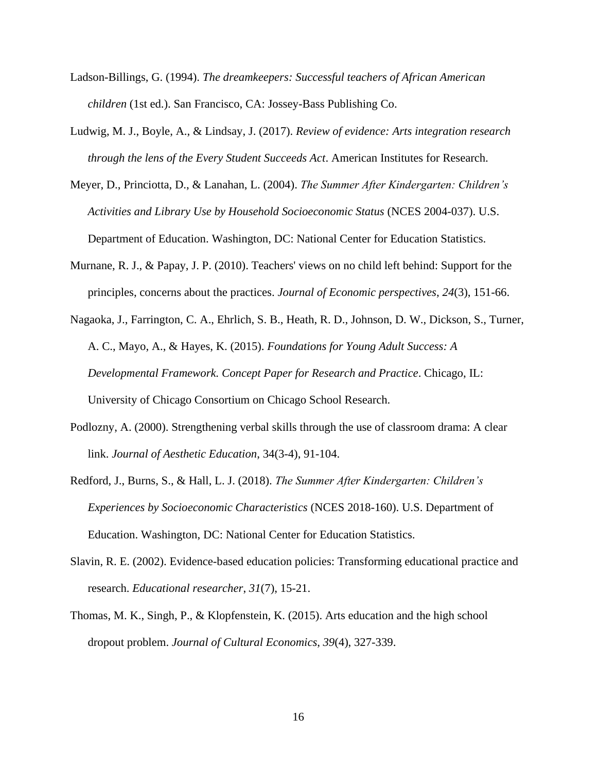- Ladson-Billings, G. (1994). *The dreamkeepers: Successful teachers of African American children* (1st ed.). San Francisco, CA: Jossey-Bass Publishing Co.
- Ludwig, M. J., Boyle, A., & Lindsay, J. (2017). *Review of evidence: Arts integration research through the lens of the Every Student Succeeds Act*. American Institutes for Research.
- Meyer, D., Princiotta, D., & Lanahan, L. (2004). *The Summer After Kindergarten: Children's Activities and Library Use by Household Socioeconomic Status* (NCES 2004-037). U.S. Department of Education. Washington, DC: National Center for Education Statistics.
- Murnane, R. J., & Papay, J. P. (2010). Teachers' views on no child left behind: Support for the principles, concerns about the practices. *Journal of Economic perspectives*, *24*(3), 151-66.
- Nagaoka, J., Farrington, C. A., Ehrlich, S. B., Heath, R. D., Johnson, D. W., Dickson, S., Turner, A. C., Mayo, A., & Hayes, K. (2015). *Foundations for Young Adult Success: A Developmental Framework. Concept Paper for Research and Practice*. Chicago, IL: University of Chicago Consortium on Chicago School Research.
- Podlozny, A. (2000). Strengthening verbal skills through the use of classroom drama: A clear link. *Journal of Aesthetic Education*, 34(3-4), 91-104.
- Redford, J., Burns, S., & Hall, L. J. (2018). *The Summer After Kindergarten: Children's Experiences by Socioeconomic Characteristics* (NCES 2018-160). U.S. Department of Education. Washington, DC: National Center for Education Statistics.
- Slavin, R. E. (2002). Evidence-based education policies: Transforming educational practice and research. *Educational researcher*, *31*(7), 15-21.
- Thomas, M. K., Singh, P., & Klopfenstein, K. (2015). Arts education and the high school dropout problem. *Journal of Cultural Economics*, *39*(4), 327-339.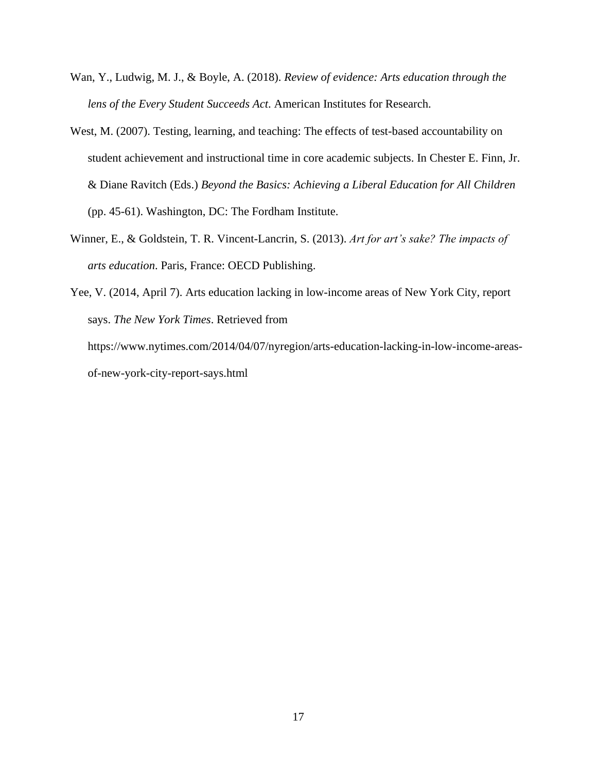- Wan, Y., Ludwig, M. J., & Boyle, A. (2018). *Review of evidence: Arts education through the lens of the Every Student Succeeds Act*. American Institutes for Research.
- West, M. (2007). Testing, learning, and teaching: The effects of test-based accountability on student achievement and instructional time in core academic subjects. In Chester E. Finn, Jr. & Diane Ravitch (Eds.) *Beyond the Basics: Achieving a Liberal Education for All Children* (pp. 45-61). Washington, DC: The Fordham Institute.
- Winner, E., & Goldstein, T. R. Vincent-Lancrin, S. (2013). *Art for art's sake? The impacts of arts education*. Paris, France: OECD Publishing.
- Yee, V. (2014, April 7). Arts education lacking in low-income areas of New York City, report says. *The New York Times*. Retrieved from https://www.nytimes.com/2014/04/07/nyregion/arts-education-lacking-in-low-income-areasof-new-york-city-report-says.html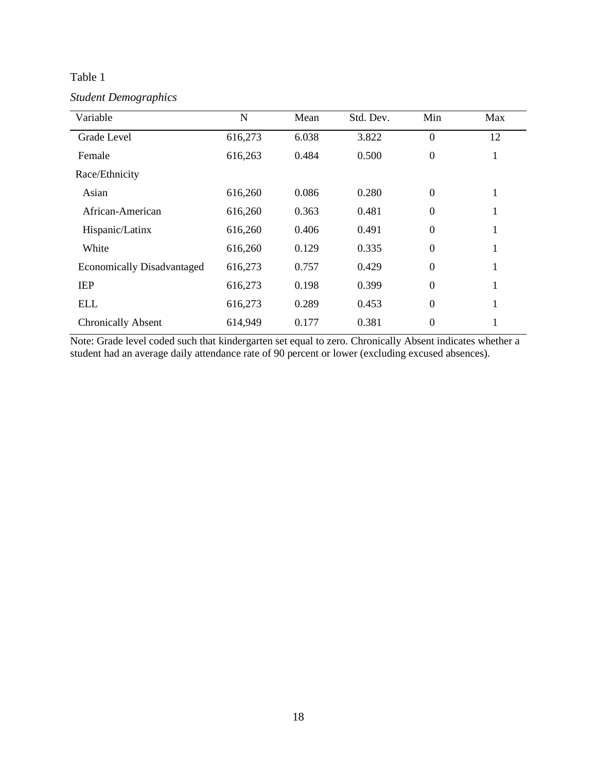*Student Demographics*

| Variable                          | N       | Mean  | Std. Dev. | Min      | Max |
|-----------------------------------|---------|-------|-----------|----------|-----|
| Grade Level                       | 616,273 | 6.038 | 3.822     | $\theta$ | 12  |
| Female                            | 616,263 | 0.484 | 0.500     | $\Omega$ | 1   |
| Race/Ethnicity                    |         |       |           |          |     |
| Asian                             | 616,260 | 0.086 | 0.280     | $\theta$ | 1   |
| African-American                  | 616,260 | 0.363 | 0.481     | $\theta$ | 1   |
| Hispanic/Latinx                   | 616,260 | 0.406 | 0.491     | $\theta$ | 1   |
| White                             | 616,260 | 0.129 | 0.335     | $\theta$ | 1   |
| <b>Economically Disadvantaged</b> | 616,273 | 0.757 | 0.429     | $\theta$ | 1   |
| <b>IEP</b>                        | 616,273 | 0.198 | 0.399     | $\theta$ | 1   |
| <b>ELL</b>                        | 616,273 | 0.289 | 0.453     | $\theta$ | 1   |
| <b>Chronically Absent</b>         | 614,949 | 0.177 | 0.381     | $\theta$ |     |

Note: Grade level coded such that kindergarten set equal to zero. Chronically Absent indicates whether a student had an average daily attendance rate of 90 percent or lower (excluding excused absences).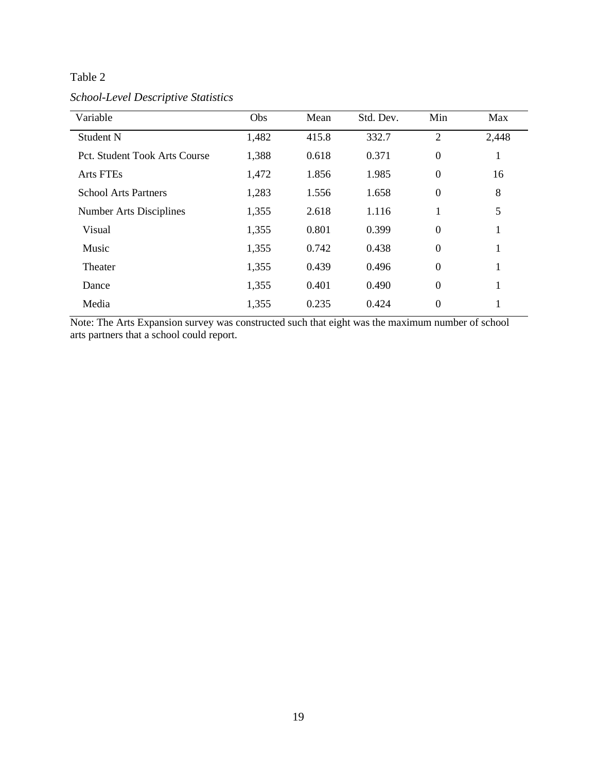*School-Level Descriptive Statistics*

| Variable                       | Obs   | Mean  | Std. Dev. | Min            | Max   |
|--------------------------------|-------|-------|-----------|----------------|-------|
| Student N                      | 1,482 | 415.8 | 332.7     | $\overline{2}$ | 2,448 |
| Pct. Student Took Arts Course  | 1,388 | 0.618 | 0.371     | $\overline{0}$ | 1     |
| <b>Arts FTEs</b>               | 1,472 | 1.856 | 1.985     | $\overline{0}$ | 16    |
| <b>School Arts Partners</b>    | 1,283 | 1.556 | 1.658     | $\overline{0}$ | 8     |
| <b>Number Arts Disciplines</b> | 1,355 | 2.618 | 1.116     |                | 5     |
| Visual                         | 1,355 | 0.801 | 0.399     | $\overline{0}$ | 1     |
| Music                          | 1,355 | 0.742 | 0.438     | $\overline{0}$ | T     |
| Theater                        | 1,355 | 0.439 | 0.496     | $\overline{0}$ | 1     |
| Dance                          | 1,355 | 0.401 | 0.490     | $\overline{0}$ |       |
| Media                          | 1,355 | 0.235 | 0.424     | $\theta$       |       |

Note: The Arts Expansion survey was constructed such that eight was the maximum number of school arts partners that a school could report.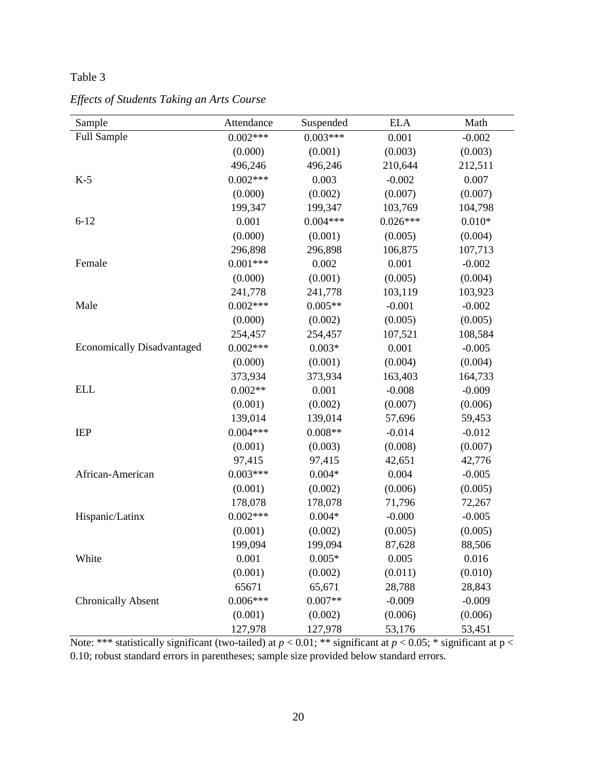| Sample                            | Attendance | Suspended  | <b>ELA</b> | Math     |
|-----------------------------------|------------|------------|------------|----------|
| <b>Full Sample</b>                | $0.002***$ | $0.003***$ | 0.001      | $-0.002$ |
|                                   | (0.000)    | (0.001)    | (0.003)    | (0.003)  |
|                                   | 496,246    | 496,246    | 210,644    | 212,511  |
| $K-5$                             | $0.002***$ | 0.003      | $-0.002$   | 0.007    |
|                                   | (0.000)    | (0.002)    | (0.007)    | (0.007)  |
|                                   | 199,347    | 199,347    | 103,769    | 104,798  |
| $6 - 12$                          | 0.001      | $0.004***$ | $0.026***$ | $0.010*$ |
|                                   | (0.000)    | (0.001)    | (0.005)    | (0.004)  |
|                                   | 296,898    | 296,898    | 106,875    | 107,713  |
| Female                            | $0.001***$ | 0.002      | 0.001      | $-0.002$ |
|                                   | (0.000)    | (0.001)    | (0.005)    | (0.004)  |
|                                   | 241,778    | 241,778    | 103,119    | 103,923  |
| Male                              | $0.002***$ | $0.005**$  | $-0.001$   | $-0.002$ |
|                                   | (0.000)    | (0.002)    | (0.005)    | (0.005)  |
|                                   | 254,457    | 254,457    | 107,521    | 108,584  |
| <b>Economically Disadvantaged</b> | $0.002***$ | $0.003*$   | 0.001      | $-0.005$ |
|                                   | (0.000)    | (0.001)    | (0.004)    | (0.004)  |
|                                   | 373,934    | 373,934    | 163,403    | 164,733  |
| <b>ELL</b>                        | $0.002**$  | 0.001      | $-0.008$   | $-0.009$ |
|                                   | (0.001)    | (0.002)    | (0.007)    | (0.006)  |
|                                   | 139,014    | 139,014    | 57,696     | 59,453   |
| <b>IEP</b>                        | $0.004***$ | $0.008**$  | $-0.014$   | $-0.012$ |
|                                   | (0.001)    | (0.003)    | (0.008)    | (0.007)  |
|                                   | 97,415     | 97,415     | 42,651     | 42,776   |
| African-American                  | $0.003***$ | $0.004*$   | 0.004      | $-0.005$ |
|                                   | (0.001)    | (0.002)    | (0.006)    | (0.005)  |
|                                   | 178,078    | 178,078    | 71,796     | 72,267   |
| Hispanic/Latinx                   | $0.002***$ | $0.004*$   | $-0.000$   | $-0.005$ |
|                                   | (0.001)    | (0.002)    | (0.005)    | (0.005)  |
|                                   | 199,094    | 199,094    | 87,628     | 88,506   |
| White                             | 0.001      | $0.005*$   | 0.005      | 0.016    |
|                                   | (0.001)    | (0.002)    | (0.011)    | (0.010)  |
|                                   | 65671      | 65,671     | 28,788     | 28,843   |
| <b>Chronically Absent</b>         | $0.006***$ | $0.007**$  | $-0.009$   | $-0.009$ |
|                                   | (0.001)    | (0.002)    | (0.006)    | (0.006)  |
|                                   | 127,978    | 127,978    | 53,176     | 53,451   |

*Effects of Students Taking an Arts Course*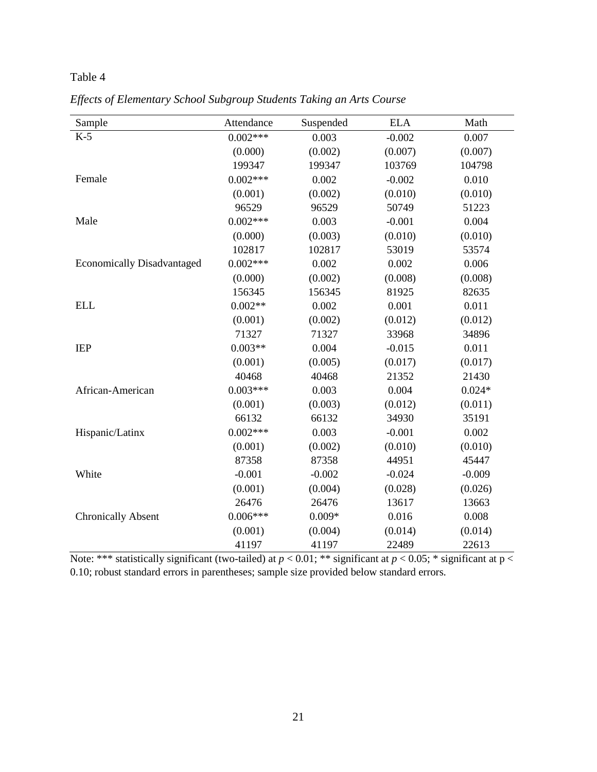| Sample                            | Attendance | Suspended | <b>ELA</b> | Math     |
|-----------------------------------|------------|-----------|------------|----------|
| $K-5$                             | $0.002***$ | 0.003     | $-0.002$   | 0.007    |
|                                   | (0.000)    | (0.002)   | (0.007)    | (0.007)  |
|                                   | 199347     | 199347    | 103769     | 104798   |
| Female                            | $0.002***$ | 0.002     | $-0.002$   | 0.010    |
|                                   | (0.001)    | (0.002)   | (0.010)    | (0.010)  |
|                                   | 96529      | 96529     | 50749      | 51223    |
| Male                              | $0.002***$ | 0.003     | $-0.001$   | 0.004    |
|                                   | (0.000)    | (0.003)   | (0.010)    | (0.010)  |
|                                   | 102817     | 102817    | 53019      | 53574    |
| <b>Economically Disadvantaged</b> | $0.002***$ | 0.002     | 0.002      | 0.006    |
|                                   | (0.000)    | (0.002)   | (0.008)    | (0.008)  |
|                                   | 156345     | 156345    | 81925      | 82635    |
| <b>ELL</b>                        | $0.002**$  | 0.002     | 0.001      | 0.011    |
|                                   | (0.001)    | (0.002)   | (0.012)    | (0.012)  |
|                                   | 71327      | 71327     | 33968      | 34896    |
| <b>IEP</b>                        | $0.003**$  | 0.004     | $-0.015$   | 0.011    |
|                                   | (0.001)    | (0.005)   | (0.017)    | (0.017)  |
|                                   | 40468      | 40468     | 21352      | 21430    |
| African-American                  | $0.003***$ | 0.003     | 0.004      | $0.024*$ |
|                                   | (0.001)    | (0.003)   | (0.012)    | (0.011)  |
|                                   | 66132      | 66132     | 34930      | 35191    |
| Hispanic/Latinx                   | $0.002***$ | 0.003     | $-0.001$   | 0.002    |
|                                   | (0.001)    | (0.002)   | (0.010)    | (0.010)  |
|                                   | 87358      | 87358     | 44951      | 45447    |
| White                             | $-0.001$   | $-0.002$  | $-0.024$   | $-0.009$ |
|                                   | (0.001)    | (0.004)   | (0.028)    | (0.026)  |
|                                   | 26476      | 26476     | 13617      | 13663    |
| <b>Chronically Absent</b>         | $0.006***$ | $0.009*$  | 0.016      | 0.008    |
|                                   | (0.001)    | (0.004)   | (0.014)    | (0.014)  |
|                                   | 41197      | 41197     | 22489      | 22613    |

*Effects of Elementary School Subgroup Students Taking an Arts Course*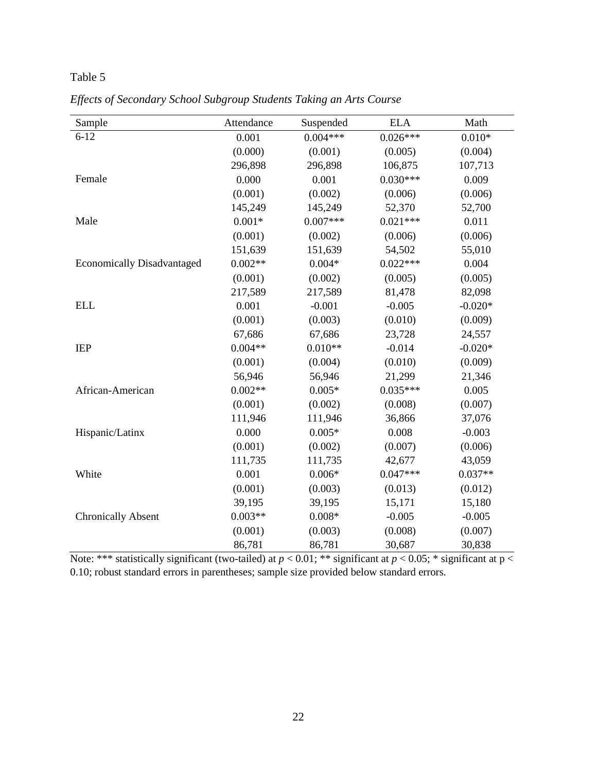| Sample                            | Attendance | Suspended  | <b>ELA</b> | Math      |
|-----------------------------------|------------|------------|------------|-----------|
| $6 - 12$                          | 0.001      | $0.004***$ | $0.026***$ | $0.010*$  |
|                                   | (0.000)    | (0.001)    | (0.005)    | (0.004)   |
|                                   | 296,898    | 296,898    | 106,875    | 107,713   |
| Female                            | 0.000      | 0.001      | $0.030***$ | 0.009     |
|                                   | (0.001)    | (0.002)    | (0.006)    | (0.006)   |
|                                   | 145,249    | 145,249    | 52,370     | 52,700    |
| Male                              | $0.001*$   | $0.007***$ | $0.021***$ | 0.011     |
|                                   | (0.001)    | (0.002)    | (0.006)    | (0.006)   |
|                                   | 151,639    | 151,639    | 54,502     | 55,010    |
| <b>Economically Disadvantaged</b> | $0.002**$  | $0.004*$   | $0.022***$ | 0.004     |
|                                   | (0.001)    | (0.002)    | (0.005)    | (0.005)   |
|                                   | 217,589    | 217,589    | 81,478     | 82,098    |
| <b>ELL</b>                        | 0.001      | $-0.001$   | $-0.005$   | $-0.020*$ |
|                                   | (0.001)    | (0.003)    | (0.010)    | (0.009)   |
|                                   | 67,686     | 67,686     | 23,728     | 24,557    |
| <b>IEP</b>                        | $0.004**$  | $0.010**$  | $-0.014$   | $-0.020*$ |
|                                   | (0.001)    | (0.004)    | (0.010)    | (0.009)   |
|                                   | 56,946     | 56,946     | 21,299     | 21,346    |
| African-American                  | $0.002**$  | $0.005*$   | $0.035***$ | 0.005     |
|                                   | (0.001)    | (0.002)    | (0.008)    | (0.007)   |
|                                   | 111,946    | 111,946    | 36,866     | 37,076    |
| Hispanic/Latinx                   | 0.000      | $0.005*$   | 0.008      | $-0.003$  |
|                                   | (0.001)    | (0.002)    | (0.007)    | (0.006)   |
|                                   | 111,735    | 111,735    | 42,677     | 43,059    |
| White                             | 0.001      | $0.006*$   | $0.047***$ | $0.037**$ |
|                                   | (0.001)    | (0.003)    | (0.013)    | (0.012)   |
|                                   | 39,195     | 39,195     | 15,171     | 15,180    |
| <b>Chronically Absent</b>         | $0.003**$  | $0.008*$   | $-0.005$   | $-0.005$  |
|                                   | (0.001)    | (0.003)    | (0.008)    | (0.007)   |
|                                   | 86,781     | 86,781     | 30,687     | 30,838    |

*Effects of Secondary School Subgroup Students Taking an Arts Course*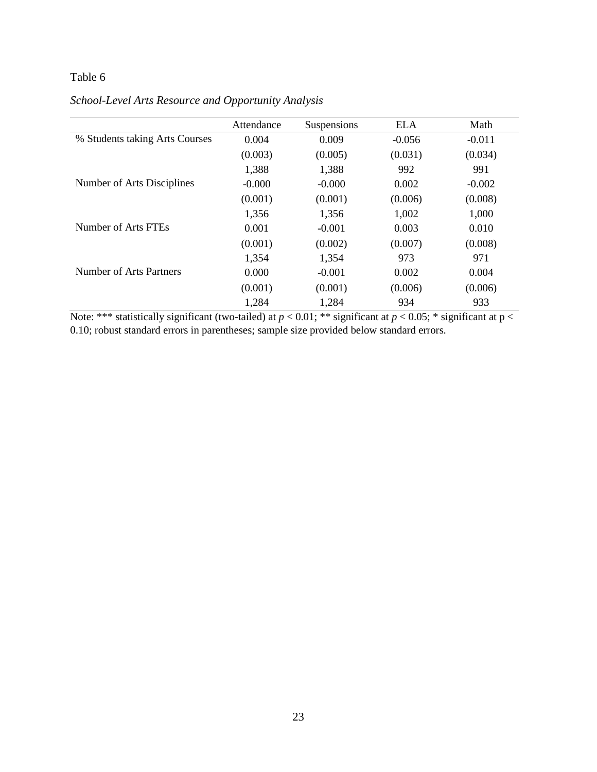|                                | Attendance | Suspensions | <b>ELA</b> | Math     |
|--------------------------------|------------|-------------|------------|----------|
| % Students taking Arts Courses | 0.004      | 0.009       | $-0.056$   | $-0.011$ |
|                                | (0.003)    | (0.005)     | (0.031)    | (0.034)  |
|                                | 1,388      | 1,388       | 992        | 991      |
| Number of Arts Disciplines     | $-0.000$   | $-0.000$    | 0.002      | $-0.002$ |
|                                | (0.001)    | (0.001)     | (0.006)    | (0.008)  |
|                                | 1,356      | 1,356       | 1,002      | 1,000    |
| Number of Arts FTEs            | 0.001      | $-0.001$    | 0.003      | 0.010    |
|                                | (0.001)    | (0.002)     | (0.007)    | (0.008)  |
|                                | 1,354      | 1,354       | 973        | 971      |
| Number of Arts Partners        | 0.000      | $-0.001$    | 0.002      | 0.004    |
|                                | (0.001)    | (0.001)     | (0.006)    | (0.006)  |
|                                | 1,284      | 1,284       | 934        | 933      |

### *School-Level Arts Resource and Opportunity Analysis*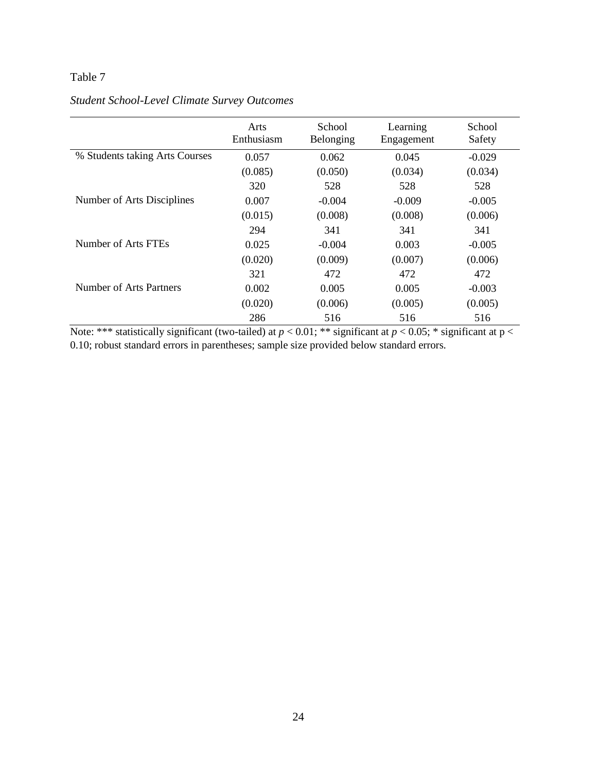|                                | Arts<br>Enthusiasm | School<br>Belonging | Learning<br>Engagement | School<br>Safety |
|--------------------------------|--------------------|---------------------|------------------------|------------------|
| % Students taking Arts Courses | 0.057              | 0.062               | 0.045                  | $-0.029$         |
|                                | (0.085)            | (0.050)             | (0.034)                | (0.034)          |
|                                | 320                | 528                 | 528                    | 528              |
| Number of Arts Disciplines     | 0.007              | $-0.004$            | $-0.009$               | $-0.005$         |
|                                | (0.015)            | (0.008)             | (0.008)                | (0.006)          |
|                                | 294                | 341                 | 341                    | 341              |
| Number of Arts FTEs            | 0.025              | $-0.004$            | 0.003                  | $-0.005$         |
|                                | (0.020)            | (0.009)             | (0.007)                | (0.006)          |
|                                | 321                | 472                 | 472                    | 472              |
| Number of Arts Partners        | 0.002              | 0.005               | 0.005                  | $-0.003$         |
|                                | (0.020)            | (0.006)             | (0.005)                | (0.005)          |
|                                | 286                | 516                 | 516                    | 516              |

### *Student School-Level Climate Survey Outcomes*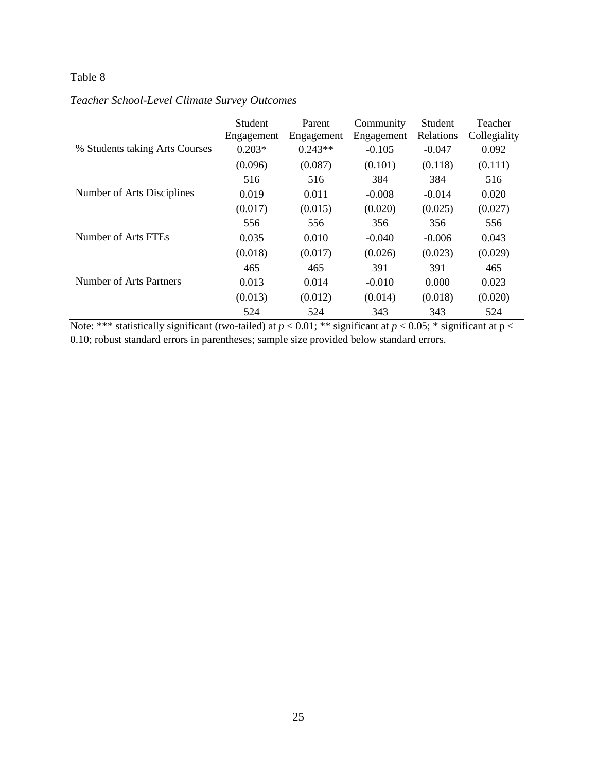|                                | Student    | Parent     | Community  | Student   | Teacher      |
|--------------------------------|------------|------------|------------|-----------|--------------|
|                                | Engagement | Engagement | Engagement | Relations | Collegiality |
| % Students taking Arts Courses | $0.203*$   | $0.243**$  | $-0.105$   | $-0.047$  | 0.092        |
|                                | (0.096)    | (0.087)    | (0.101)    | (0.118)   | (0.111)      |
|                                | 516        | 516        | 384        | 384       | 516          |
| Number of Arts Disciplines     | 0.019      | 0.011      | $-0.008$   | $-0.014$  | 0.020        |
|                                | (0.017)    | (0.015)    | (0.020)    | (0.025)   | (0.027)      |
|                                | 556        | 556        | 356        | 356       | 556          |
| Number of Arts FTEs            | 0.035      | 0.010      | $-0.040$   | $-0.006$  | 0.043        |
|                                | (0.018)    | (0.017)    | (0.026)    | (0.023)   | (0.029)      |
|                                | 465        | 465        | 391        | 391       | 465          |
| Number of Arts Partners        | 0.013      | 0.014      | $-0.010$   | 0.000     | 0.023        |
|                                | (0.013)    | (0.012)    | (0.014)    | (0.018)   | (0.020)      |
|                                | 524        | 524        | 343        | 343       | 524          |

### *Teacher School-Level Climate Survey Outcomes*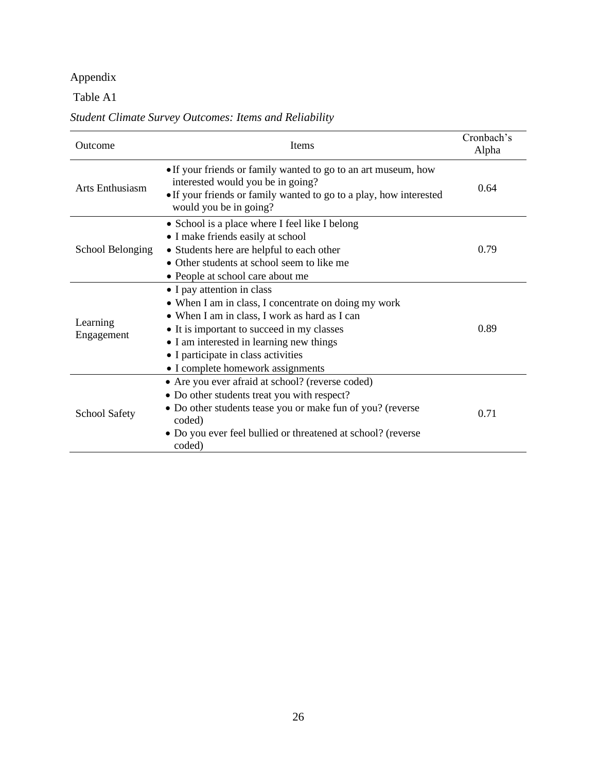# Appendix

### Table A1

### *Student Climate Survey Outcomes: Items and Reliability*

| Outcome                | Items                                                                                                                                                                                                                                                                                                     | Cronbach's<br>Alpha |
|------------------------|-----------------------------------------------------------------------------------------------------------------------------------------------------------------------------------------------------------------------------------------------------------------------------------------------------------|---------------------|
| <b>Arts Enthusiasm</b> | • If your friends or family wanted to go to an art museum, how<br>interested would you be in going?<br>• If your friends or family wanted to go to a play, how interested<br>would you be in going?                                                                                                       | 0.64                |
| School Belonging       | • School is a place where I feel like I belong<br>• I make friends easily at school<br>• Students here are helpful to each other<br>• Other students at school seem to like me<br>• People at school care about me                                                                                        | 0.79                |
| Learning<br>Engagement | • I pay attention in class<br>• When I am in class, I concentrate on doing my work<br>• When I am in class, I work as hard as I can<br>• It is important to succeed in my classes<br>• I am interested in learning new things<br>• I participate in class activities<br>• I complete homework assignments | 0.89                |
| <b>School Safety</b>   | • Are you ever afraid at school? (reverse coded)<br>• Do other students treat you with respect?<br>• Do other students tease you or make fun of you? (reverse<br>coded)<br>• Do you ever feel bullied or threatened at school? (reverse<br>coded)                                                         | 0.71                |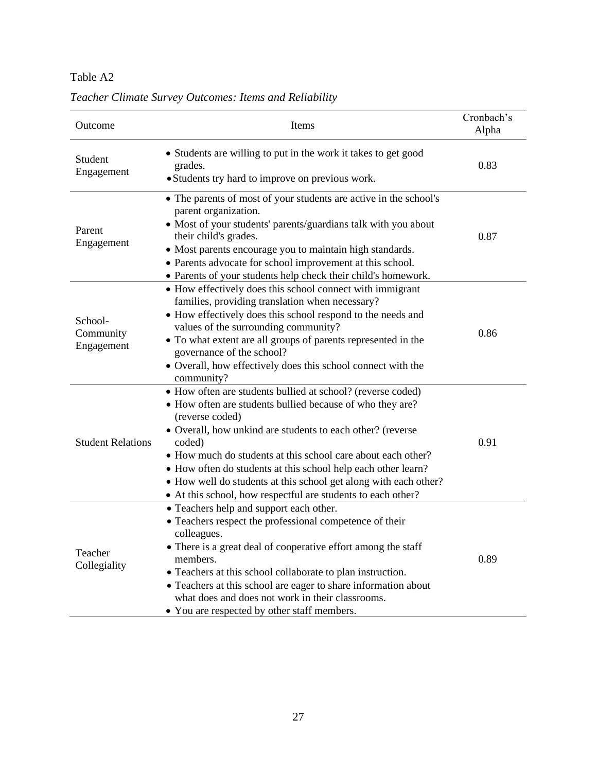### Table A2

| Outcome                            | Items                                                                                                                                                                                                                                                                                                                                                                                                                                                                                    | Cronbach's<br>Alpha |
|------------------------------------|------------------------------------------------------------------------------------------------------------------------------------------------------------------------------------------------------------------------------------------------------------------------------------------------------------------------------------------------------------------------------------------------------------------------------------------------------------------------------------------|---------------------|
| Student<br>Engagement              | • Students are willing to put in the work it takes to get good<br>grades.<br>• Students try hard to improve on previous work.                                                                                                                                                                                                                                                                                                                                                            | 0.83                |
| Parent<br>Engagement               | • The parents of most of your students are active in the school's<br>parent organization.<br>• Most of your students' parents/guardians talk with you about<br>their child's grades.<br>• Most parents encourage you to maintain high standards.<br>• Parents advocate for school improvement at this school.<br>• Parents of your students help check their child's homework.                                                                                                           | 0.87                |
| School-<br>Community<br>Engagement | • How effectively does this school connect with immigrant<br>families, providing translation when necessary?<br>• How effectively does this school respond to the needs and<br>values of the surrounding community?<br>• To what extent are all groups of parents represented in the<br>governance of the school?<br>• Overall, how effectively does this school connect with the<br>community?                                                                                          | 0.86                |
| <b>Student Relations</b>           | • How often are students bullied at school? (reverse coded)<br>• How often are students bullied because of who they are?<br>(reverse coded)<br>• Overall, how unkind are students to each other? (reverse<br>coded)<br>• How much do students at this school care about each other?<br>• How often do students at this school help each other learn?<br>• How well do students at this school get along with each other?<br>• At this school, how respectful are students to each other? | 0.91                |
| Teacher<br>Collegiality            | • Teachers help and support each other.<br>• Teachers respect the professional competence of their<br>colleagues.<br>• There is a great deal of cooperative effort among the staff<br>members.<br>• Teachers at this school collaborate to plan instruction.<br>• Teachers at this school are eager to share information about<br>what does and does not work in their classrooms.<br>• You are respected by other staff members.                                                        | 0.89                |

*Teacher Climate Survey Outcomes: Items and Reliability*